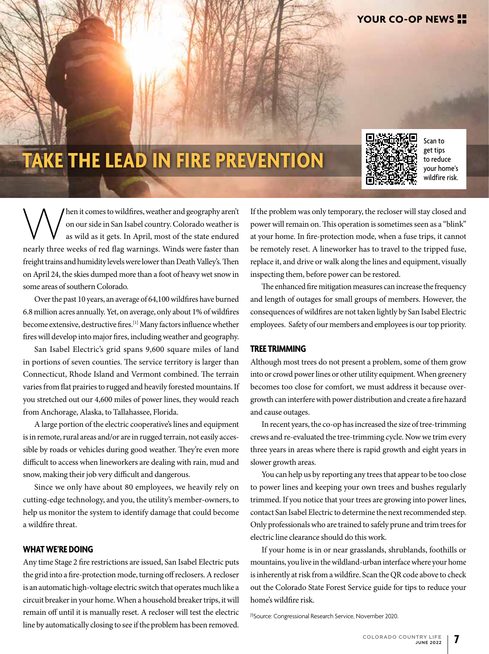# **TAKE THE LEAD IN FIRE PREVENTION**



Scan to get tips to reduce your home's wildfire risk.

Men it comes to wildfires, weather and geography aren't on our side in San Isabel country. Colorado weather is as wild as it gets. In April, most of the state endured nearly three weeks of red flag warnings. Winds were fas on our side in San Isabel country. Colorado weather is as wild as it gets. In April, most of the state endured nearly three weeks of red flag warnings. Winds were faster than freight trains and humidity levels were lower than Death Valley's. Then on April 24, the skies dumped more than a foot of heavy wet snow in some areas of southern Colorado.

Over the past 10 years, an average of 64,100 wildfires have burned 6.8 million acres annually. Yet, on average, only about 1% of wildfires become extensive, destructive fires.[1] Many factors influence whether fires will develop into major fires, including weather and geography.

San Isabel Electric's grid spans 9,600 square miles of land in portions of seven counties. The service territory is larger than Connecticut, Rhode Island and Vermont combined. The terrain varies from flat prairies to rugged and heavily forested mountains. If you stretched out our 4,600 miles of power lines, they would reach from Anchorage, Alaska, to Tallahassee, Florida.

A large portion of the electric cooperative's lines and equipment is in remote, rural areas and/or are in rugged terrain, not easily accessible by roads or vehicles during good weather. They're even more difficult to access when lineworkers are dealing with rain, mud and snow, making their job very difficult and dangerous.

Since we only have about 80 employees, we heavily rely on cutting-edge technology, and you, the utility's member-owners, to help us monitor the system to identify damage that could become a wildfire threat.

## **WHAT WE'RE DOING**

Any time Stage 2 fire restrictions are issued, San Isabel Electric puts the grid into a fire-protection mode, turning off reclosers. A recloser is an automatic high-voltage electric switch that operates much like a circuit breaker in your home. When a household breaker trips, it will remain off until it is manually reset. A recloser will test the electric line by automatically closing to see if the problem has been removed.

If the problem was only temporary, the recloser will stay closed and power will remain on. This operation is sometimes seen as a "blink" at your home. In fire-protection mode, when a fuse trips, it cannot be remotely reset. A lineworker has to travel to the tripped fuse, replace it, and drive or walk along the lines and equipment, visually inspecting them, before power can be restored.

The enhanced fire mitigation measures can increase the frequency and length of outages for small groups of members. However, the consequences of wildfires are not taken lightly by San Isabel Electric employees. Safety of our members and employees is our top priority.

#### **TREE TRIMMING**

Although most trees do not present a problem, some of them grow into or crowd power lines or other utility equipment. When greenery becomes too close for comfort, we must address it because overgrowth can interfere with power distribution and create a fire hazard and cause outages.

In recent years, the co-op has increased the size of tree-trimming crews and re-evaluated the tree-trimming cycle. Now we trim every three years in areas where there is rapid growth and eight years in slower growth areas.

You can help us by reporting any trees that appear to be too close to power lines and keeping your own trees and bushes regularly trimmed. If you notice that your trees are growing into power lines, contact San Isabel Electric to determine the next recommended step. Only professionals who are trained to safely prune and trim trees for electric line clearance should do this work.

If your home is in or near grasslands, shrublands, foothills or mountains, you live in the wildland-urban interface where your home is inherently at risk from a wildfire. Scan the QR code above to check out the Colorado State Forest Service guide for tips to reduce your home's wildfire risk.

[1]Source: Congressional Research Service, November 2020.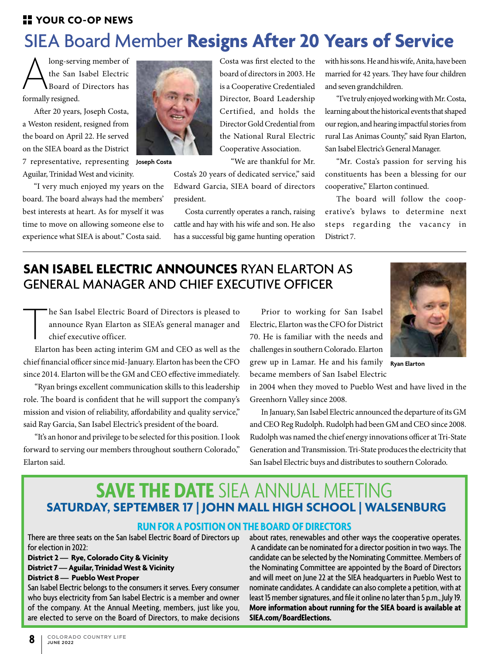## **H** YOUR CO-OP NEWS

# SIEA Board Member **Resigns After 20 Years of Service**

long-serving member of the San Isabel Electric Board of Directors has formally resigned.

After 20 years, Joseph Costa, a Weston resident, resigned from the board on April 22. He served on the SIEA board as the District

7 representative, representing **Joseph Costa** Aguilar, Trinidad West and vicinity.

"I very much enjoyed my years on the board. The board always had the members' best interests at heart. As for myself it was time to move on allowing someone else to experience what SIEA is about." Costa said.



Costa was first elected to the board of directors in 2003. He is a Cooperative Credentialed Director, Board Leadership Certified, and holds the Director Gold Credential from the National Rural Electric Cooperative Association.

"We are thankful for Mr.

Costa's 20 years of dedicated service," said Edward Garcia, SIEA board of directors president.

Costa currently operates a ranch, raising cattle and hay with his wife and son. He also has a successful big game hunting operation with his sons. He and his wife, Anita, have been married for 42 years. They have four children and seven grandchildren.

"I've truly enjoyed working with Mr. Costa, learning about the historical events that shaped our region, and hearing impactful stories from rural Las Animas County," said Ryan Elarton, San Isabel Electric's General Manager.

"Mr. Costa's passion for serving his constituents has been a blessing for our cooperative," Elarton continued.

The board will follow the cooperative's bylaws to determine next steps regarding the vacancy in District 7.

## **SAN ISABEL ELECTRIC ANNOUNCES** RYAN ELARTON AS GENERAL MANAGER AND CHIEF EXECUTIVE OFFICER

The San Isabel Electric Board of Directors is pleased to announce Ryan Elarton as SIEA's general manager and chief executive officer.<br>Elarton has been acting interim GM and CEO as well as the announce Ryan Elarton as SIEA's general manager and chief executive officer.

chief financial officer since mid-January. Elarton has been the CFO since 2014. Elarton will be the GM and CEO effective immediately.

"Ryan brings excellent communication skills to this leadership role. The board is confident that he will support the company's mission and vision of reliability, affordability and quality service," said Ray Garcia, San Isabel Electric's president of the board.

"It's an honor and privilege to be selected for this position. I look forward to serving our members throughout southern Colorado," Elarton said.

Prior to working for San Isabel Electric, Elarton was the CFO for District 70. He is familiar with the needs and challenges in southern Colorado. Elarton grew up in Lamar. He and his family **Ryan Elarton** became members of San Isabel Electric



in 2004 when they moved to Pueblo West and have lived in the Greenhorn Valley since 2008.

In January, San Isabel Electric announced the departure of its GM and CEO Reg Rudolph. Rudolph had been GM and CEO since 2008. Rudolph was named the chief energy innovations officer at Tri-State Generation and Transmission. Tri-State produces the electricity that San Isabel Electric buys and distributes to southern Colorado.

## **SAVE THE DATE** SIEA ANNUAL MEETING **SATURDAY, SEPTEMBER 17 | JOHN MALL HIGH SCHOOL | WALSENBURG**

## **RUN FOR A POSITION ON THE BOARD OF DIRECTORS**

There are three seats on the San Isabel Electric Board of Directors up for election in 2022:

**District 2 — Rye, Colorado City & Vicinity District 7 — Aguilar, Trinidad West & Vicinity District 8 — Pueblo West Proper**

San Isabel Electric belongs to the consumers it serves. Every consumer who buys electricity from San Isabel Electric is a member and owner of the company. At the Annual Meeting, members, just like you, are elected to serve on the Board of Directors, to make decisions about rates, renewables and other ways the cooperative operates. A candidate can be nominated for a director position in two ways. The candidate can be selected by the Nominating Committee. Members of the Nominating Committee are appointed by the Board of Directors and will meet on June 22 at the SIEA headquarters in Pueblo West to nominate candidates. A candidate can also complete a petition, with at least 15 member signatures, and file it online no later than 5 p.m., July 19. **More information about running for the SIEA board is available at SIEA.com/BoardElections.**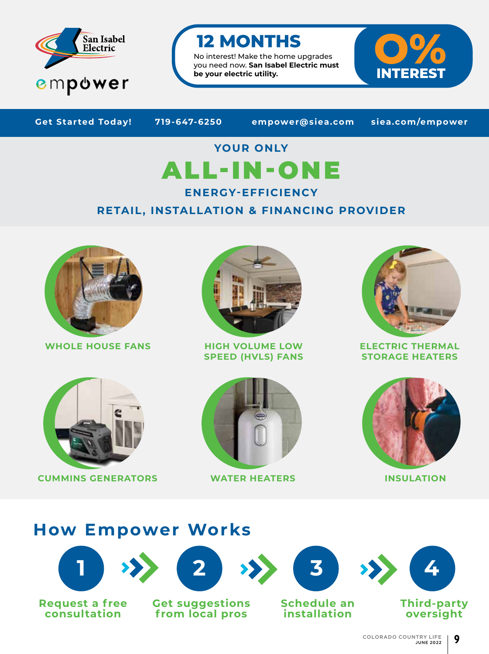

## **12 MONTHS**

No interest! Make the home upgrades you need now. **San Isabel Electric must be your electric utility.**



**Get Started Today! 719-647-6250 empower@siea.com siea.com/empower**

# **YOUR ONLY** ALL-IN-ONE

**ENERGY-EFFICIENCY** 

## **RETAIL, INSTALLATION & FINANCING PROVIDER**



**WHOLE HOUSE FANS HIGH VOLUME LOW** 



**SPEED (HVLS) FANS**



**ELECTRIC THERMAL STORAGE HEATERS**



**CUMMINS GENERATORS WATER HEATERS INSULATION**





## **How Empower Works**



**Request a free consultation**











**Third-party oversight**